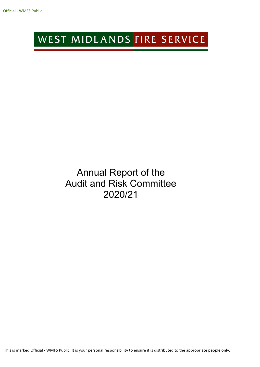# WEST MIDLANDS FIRE SERVICE

## Annual Report of the Audit and Risk Committee 2020/21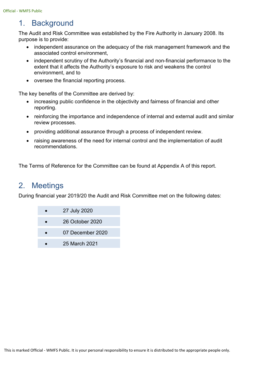### 1. Background

The Audit and Risk Committee was established by the Fire Authority in January 2008. Its purpose is to provide:

- independent assurance on the adequacy of the risk management framework and the associated control environment,
- independent scrutiny of the Authority's financial and non-financial performance to the extent that it affects the Authority's exposure to risk and weakens the control environment, and to
- oversee the financial reporting process.

The key benefits of the Committee are derived by:

- increasing public confidence in the objectivity and fairness of financial and other reporting.
- reinforcing the importance and independence of internal and external audit and similar review processes.
- providing additional assurance through a process of independent review.
- raising awareness of the need for internal control and the implementation of audit recommendations.

The Terms of Reference for the Committee can be found at Appendix A of this report.

### 2. Meetings

During financial year 2019/20 the Audit and Risk Committee met on the following dates:

- 27 July 2020 26 October 2020 07 December 2020
	- 25 March 2021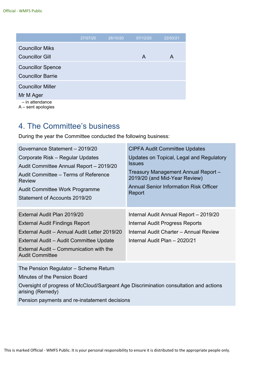|                          | 27/07/20 | 26/10/20 | 07/12/20 | 22/03/21 |
|--------------------------|----------|----------|----------|----------|
| <b>Councillor Miks</b>   |          |          |          |          |
| <b>Councillor Gill</b>   |          |          | A        | A        |
| <b>Councillor Spence</b> |          |          |          |          |
| <b>Councillor Barrie</b> |          |          |          |          |
| <b>Councillor Miller</b> |          |          |          |          |
| Mr M Ager                |          |          |          |          |
| - in attendance          |          |          |          |          |

A – sent apologies

### 4. The Committee's business

During the year the Committee conducted the following business:

| Governance Statement - 2019/20                                                                                                                                                                                                       | <b>CIPFA Audit Committee Updates</b>                                                                                                                 |
|--------------------------------------------------------------------------------------------------------------------------------------------------------------------------------------------------------------------------------------|------------------------------------------------------------------------------------------------------------------------------------------------------|
| Corporate Risk – Regular Updates                                                                                                                                                                                                     | Updates on Topical, Legal and Regulatory                                                                                                             |
| Audit Committee Annual Report - 2019/20                                                                                                                                                                                              | <i><b>Issues</b></i>                                                                                                                                 |
| Audit Committee – Terms of Reference                                                                                                                                                                                                 | Treasury Management Annual Report -                                                                                                                  |
| <b>Review</b>                                                                                                                                                                                                                        | 2019/20 (and Mid-Year Review)                                                                                                                        |
| <b>Audit Committee Work Programme</b>                                                                                                                                                                                                | <b>Annual Senior Information Risk Officer</b>                                                                                                        |
| Statement of Accounts 2019/20                                                                                                                                                                                                        | Report                                                                                                                                               |
| External Audit Plan 2019/20<br><b>External Audit Findings Report</b><br>External Audit - Annual Audit Letter 2019/20<br>External Audit – Audit Committee Update<br>External Audit – Communication with the<br><b>Audit Committee</b> | Internal Audit Annual Report - 2019/20<br>Internal Audit Progress Reports<br>Internal Audit Charter - Annual Review<br>Internal Audit Plan - 2020/21 |

The Pension Regulator – Scheme Return

Minutes of the Pension Board

Oversight of progress of McCloud/Sargeant Age Discrimination consultation and actions arising (Remedy)

Pension payments and re-instatement decisions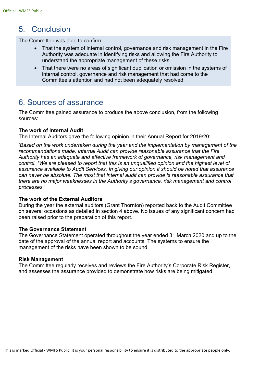### 5. Conclusion

The Committee was able to confirm:

- That the system of internal control, governance and risk management in the Fire Authority was adequate in identifying risks and allowing the Fire Authority to understand the appropriate management of these risks.
- That there were no areas of significant duplication or omission in the systems of internal control, governance and risk management that had come to the Committee's attention and had not been adequately resolved.

### 6. Sources of assurance

The Committee gained assurance to produce the above conclusion, from the following sources:

#### **The work of Internal Audit**

The Internal Auditors gave the following opinion in their Annual Report for 2019/20:

*'Based on the work undertaken during the year and the implementation by management of the recommendations made, Internal Audit can provide reasonable assurance that the Fire Authority has an adequate and effective framework of governance, risk management and control. \*We are pleased to report that this is an unqualified opinion and the highest level of assurance available to Audit Services. In giving our opinion it should be noted that assurance can never be absolute. The most that internal audit can provide is reasonable assurance that there are no major weaknesses in the Authority's governance, risk management and control processes.'*

#### **The work of the External Auditors**

During the year the external auditors (Grant Thornton) reported back to the Audit Committee on several occasions as detailed in section 4 above. No issues of any significant concern had been raised prior to the preparation of this report.

#### **The Governance Statement**

The Governance Statement operated throughout the year ended 31 March 2020 and up to the date of the approval of the annual report and accounts. The systems to ensure the management of the risks have been shown to be sound.

#### **Risk Management**

The Committee regularly receives and reviews the Fire Authority's Corporate Risk Register, and assesses the assurance provided to demonstrate how risks are being mitigated.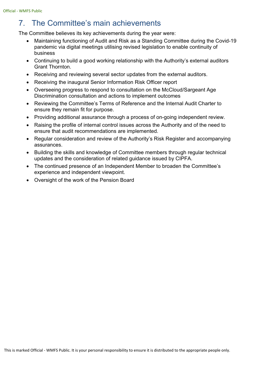### 7. The Committee's main achievements

The Committee believes its key achievements during the year were:

- Maintaining functioning of Audit and Risk as a Standing Committee during the Covid-19 pandemic via digital meetings utilising revised legislation to enable continuity of business
- Continuing to build a good working relationship with the Authority's external auditors Grant Thornton.
- Receiving and reviewing several sector updates from the external auditors.
- Receiving the inaugural Senior Information Risk Officer report
- Overseeing progress to respond to consultation on the McCloud/Sargeant Age Discrimination consultation and actions to implement outcomes
- Reviewing the Committee's Terms of Reference and the Internal Audit Charter to ensure they remain fit for purpose.
- Providing additional assurance through a process of on-going independent review.
- Raising the profile of internal control issues across the Authority and of the need to ensure that audit recommendations are implemented.
- Regular consideration and review of the Authority's Risk Register and accompanying assurances.
- Building the skills and knowledge of Committee members through regular technical updates and the consideration of related guidance issued by CIPFA.
- The continued presence of an Independent Member to broaden the Committee's experience and independent viewpoint.
- Oversight of the work of the Pension Board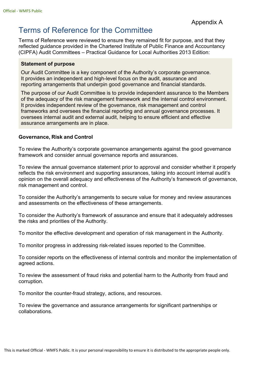### Terms of Reference for the Committee

Terms of Reference were reviewed to ensure they remained fit for purpose, and that they reflected guidance provided in the Chartered Institute of Public Finance and Accountancy (CIPFA) Audit Committees – Practical Guidance for Local Authorities 2013 Edition:

#### **Statement of purpose**

Our Audit Committee is a key component of the Authority's corporate governance. It provides an independent and high-level focus on the audit, assurance and reporting arrangements that underpin good governance and financial standards.

The purpose of our Audit Committee is to provide independent assurance to the Members of the adequacy of the risk management framework and the internal control environment. It provides independent review of the governance, risk management and control frameworks and oversees the financial reporting and annual governance processes. It oversees internal audit and external audit, helping to ensure efficient and effective assurance arrangements are in place.

#### **Governance, Risk and Control**

To review the Authority's corporate governance arrangements against the good governance framework and consider annual governance reports and assurances.

To review the annual governance statement prior to approval and consider whether it properly reflects the risk environment and supporting assurances, taking into account internal audit's opinion on the overall adequacy and effectiveness of the Authority's framework of governance, risk management and control.

To consider the Authority's arrangements to secure value for money and review assurances and assessments on the effectiveness of these arrangements.

To consider the Authority's framework of assurance and ensure that it adequately addresses the risks and priorities of the Authority.

To monitor the effective development and operation of risk management in the Authority.

To monitor progress in addressing risk-related issues reported to the Committee.

To consider reports on the effectiveness of internal controls and monitor the implementation of agreed actions.

To review the assessment of fraud risks and potential harm to the Authority from fraud and corruption.

To monitor the counter-fraud strategy, actions, and resources.

To review the governance and assurance arrangements for significant partnerships or collaborations.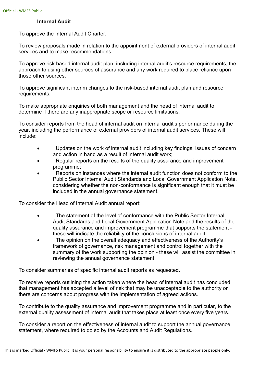#### **Internal Audit**

To approve the Internal Audit Charter.

To review proposals made in relation to the appointment of external providers of internal audit services and to make recommendations.

To approve risk based internal audit plan, including internal audit's resource requirements, the approach to using other sources of assurance and any work required to place reliance upon those other sources.

To approve significant interim changes to the risk-based internal audit plan and resource requirements.

To make appropriate enquiries of both management and the head of internal audit to determine if there are any inappropriate scope or resource limitations.

To consider reports from the head of internal audit on internal audit's performance during the year, including the performance of external providers of internal audit services. These will include:

- Updates on the work of internal audit including key findings, issues of concern and action in hand as a result of internal audit work;
- Regular reports on the results of the quality assurance and improvement programme;
- Reports on instances where the internal audit function does not conform to the Public Sector Internal Audit Standards and Local Government Application Note, considering whether the non-conformance is significant enough that it must be included in the annual governance statement.

To consider the Head of Internal Audit annual report:

- The statement of the level of conformance with the Public Sector Internal Audit Standards and Local Government Application Note and the results of the quality assurance and improvement programme that supports the statement these will indicate the reliability of the conclusions of internal audit.
- The opinion on the overall adequacy and effectiveness of the Authority's framework of governance, risk management and control together with the summary of the work supporting the opinion - these will assist the committee in reviewing the annual governance statement.

To consider summaries of specific internal audit reports as requested.

To receive reports outlining the action taken where the head of internal audit has concluded that management has accepted a level of risk that may be unacceptable to the authority or there are concerns about progress with the implementation of agreed actions.

To contribute to the quality assurance and improvement programme and in particular, to the external quality assessment of internal audit that takes place at least once every five years.

To consider a report on the effectiveness of internal audit to support the annual governance statement, where required to do so by the Accounts and Audit Regulations.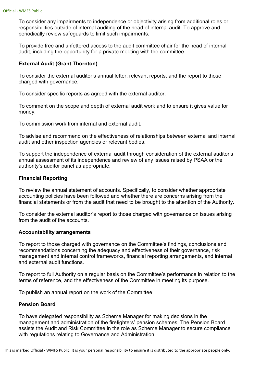To consider any impairments to independence or objectivity arising from additional roles or responsibilities outside of internal auditing of the head of internal audit. To approve and periodically review safeguards to limit such impairments.

To provide free and unfettered access to the audit committee chair for the head of internal audit, including the opportunity for a private meeting with the committee.

#### **External Audit (Grant Thornton)**

To consider the external auditor's annual letter, relevant reports, and the report to those charged with governance.

To consider specific reports as agreed with the external auditor.

To comment on the scope and depth of external audit work and to ensure it gives value for money.

To commission work from internal and external audit.

To advise and recommend on the effectiveness of relationships between external and internal audit and other inspection agencies or relevant bodies.

To support the independence of external audit through consideration of the external auditor's annual assessment of its independence and review of any issues raised by PSAA or the authority's auditor panel as appropriate.

#### **Financial Reporting**

To review the annual statement of accounts. Specifically, to consider whether appropriate accounting policies have been followed and whether there are concerns arising from the financial statements or from the audit that need to be brought to the attention of the Authority.

To consider the external auditor's report to those charged with governance on issues arising from the audit of the accounts.

#### **Accountability arrangements**

To report to those charged with governance on the Committee's findings, conclusions and recommendations concerning the adequacy and effectiveness of their governance, risk management and internal control frameworks, financial reporting arrangements, and internal and external audit functions.

To report to full Authority on a regular basis on the Committee's performance in relation to the terms of reference, and the effectiveness of the Committee in meeting its purpose.

To publish an annual report on the work of the Committee.

#### **Pension Board**

To have delegated responsibility as Scheme Manager for making decisions in the management and administration of the firefighters' pension schemes. The Pension Board assists the Audit and Risk Committee in the role as Scheme Manager to secure compliance with regulations relating to Governance and Administration.